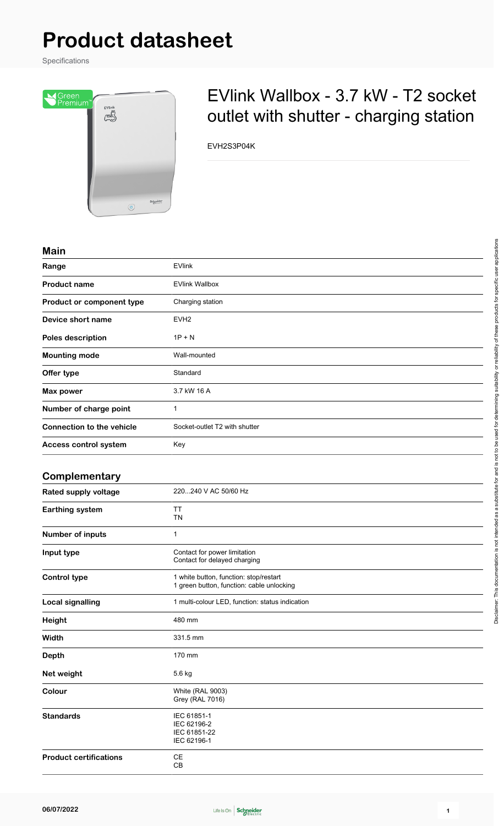# **Product datasheet**

Specifications



## EVlink Wallbox - 3.7 kW - T2 socket outlet with shutter - charging station

EVH2S3P04K

#### **Main**

| <b>IVIGILI</b>                   |                               |
|----------------------------------|-------------------------------|
| Range                            | <b>EVlink</b>                 |
| <b>Product name</b>              | <b>EVlink Wallbox</b>         |
| Product or component type        | Charging station              |
| Device short name                | EVH <sub>2</sub>              |
| Poles description                | $1P + N$                      |
| <b>Mounting mode</b>             | Wall-mounted                  |
| Offer type                       | Standard                      |
| Max power                        | 3.7 kW 16 A                   |
| Number of charge point           | 1                             |
| <b>Connection to the vehicle</b> | Socket-outlet T2 with shutter |
| Access control system            | Key                           |
|                                  |                               |

#### **Complementary**

| <b>Rated supply voltage</b>   | 220240 V AC 50/60 Hz                                                                |
|-------------------------------|-------------------------------------------------------------------------------------|
| Earthing system               | <b>TT</b><br><b>TN</b>                                                              |
| Number of inputs              | $\mathbf 1$                                                                         |
| Input type                    | Contact for power limitation<br>Contact for delayed charging                        |
| <b>Control type</b>           | 1 white button, function: stop/restart<br>1 green button, function: cable unlocking |
| <b>Local signalling</b>       | 1 multi-colour LED, function: status indication                                     |
| Height                        | 480 mm                                                                              |
| Width                         | 331.5 mm                                                                            |
| <b>Depth</b>                  | 170 mm                                                                              |
| Net weight                    | 5.6 kg                                                                              |
| Colour                        | <b>White (RAL 9003)</b><br><b>Grey (RAL 7016)</b>                                   |
| <b>Standards</b>              | IEC 61851-1<br>IEC 62196-2<br>IEC 61851-22<br>IEC 62196-1                           |
| <b>Product certifications</b> | СE<br>CB                                                                            |